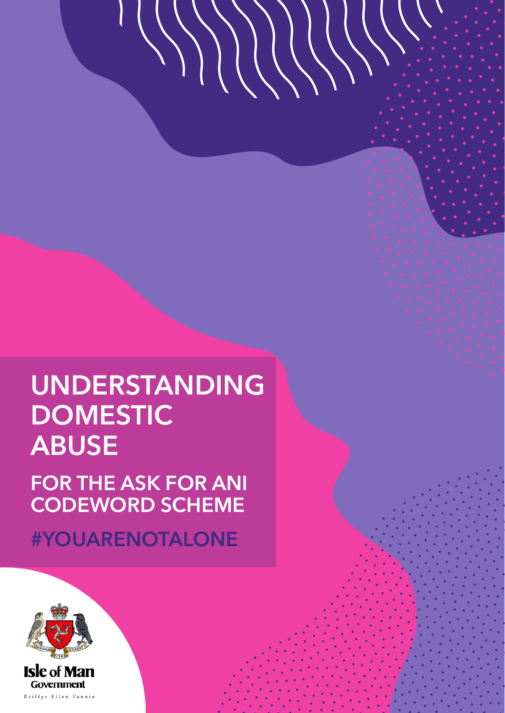# UNDERSTANDING DOMESTIC ABUSE

FOR THE ASK FOR ANI CODEWORD SCHEME

#YOUARENOTALONE

|<br>|<br>|

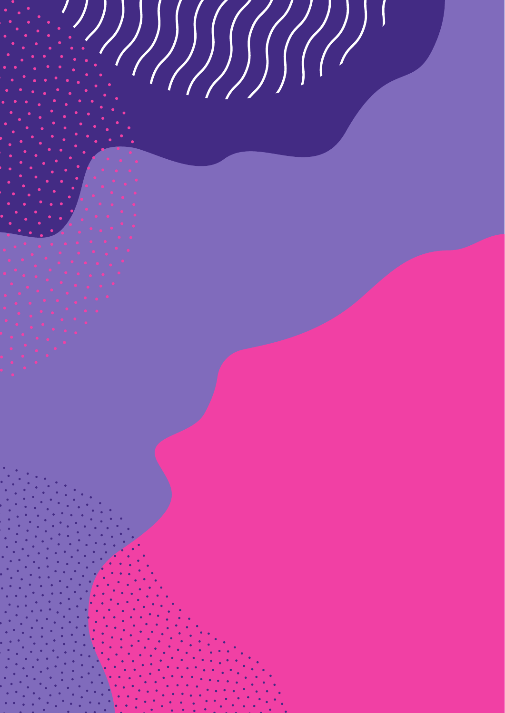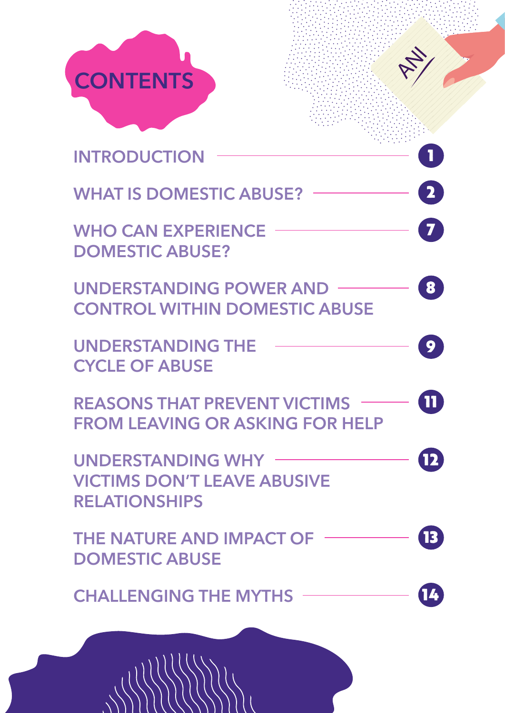| <b>CONTENTS</b>                                                                                  |                 |
|--------------------------------------------------------------------------------------------------|-----------------|
|                                                                                                  |                 |
| <b>INTRODUCTION</b>                                                                              |                 |
| <b>WHAT IS DOMESTIC ABUSE?</b>                                                                   |                 |
| <b>WHO CAN EXPERIENCE</b><br><b>DOMESTIC ABUSE?</b>                                              |                 |
| UNDERSTANDING POWER AND<br><b>CONTROL WITHIN DOMESTIC ABUSE</b>                                  | 8               |
| <b>UNDERSTANDING THE</b><br><b>CYCLE OF ABUSE</b>                                                |                 |
| <b>REASONS THAT PREVENT VICTIMS –</b><br><b>FROM LEAVING OR ASKING FOR HELP</b>                  |                 |
| UNDERSTANDING WHY ----------------<br><b>VICTIMS DON'T LEAVE ABUSIVE</b><br><b>RELATIONSHIPS</b> | 12              |
| THE NATURE AND IMPACT OF WILLIAM<br><b>DOMESTIC ABUSE</b>                                        | 13 <sup>°</sup> |
| <b>CHALLENGING THE MYTHS</b>                                                                     | 14              |
| 111111111                                                                                        |                 |

\\\\\\

N  $\overline{\phantom{0}}$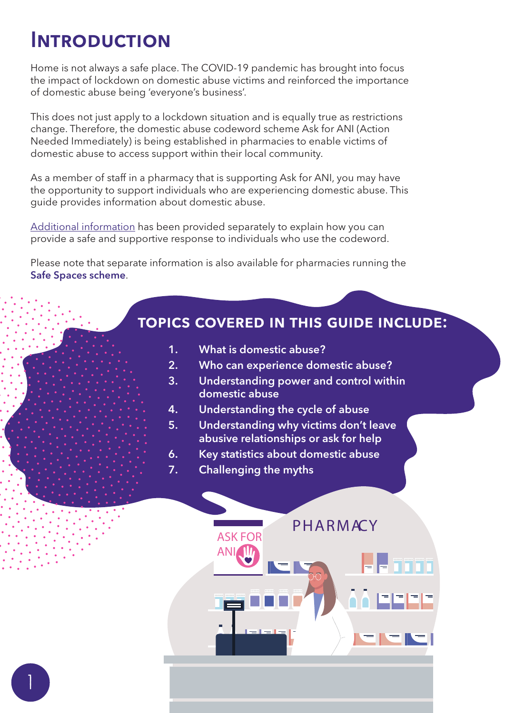## **INTRODUCTION**

Home is not always a safe place. The COVID-19 pandemic has brought into focus the impact of lockdown on domestic abuse victims and reinforced the importance of domestic abuse being 'everyone's business'.

This does not just apply to a lockdown situation and is equally true as restrictions change. Therefore, the domestic abuse codeword scheme Ask for ANI (Action Needed Immediately) is being established in pharmacies to enable victims of domestic abuse to access support within their local community.

As a member of staff in a pharmacy that is supporting Ask for ANI, you may have the opportunity to support individuals who are experiencing domestic abuse. This guide provides information about domestic abuse.

[Additional information](https://www.gov.im/domesticabuse) has been provided separately to explain how you can provide a safe and supportive response to individuals who use the codeword.

Please note that separate information is also available for pharmacies running the [Safe Spaces scheme](https://uksaysnomore.org/safespaces/).

#### Topics covered in this guide include:

- 1. What is domestic abuse?
- 2. Who can experience domestic abuse?
- 3. Understanding power and control within domestic abuse
- 4. Understanding the cycle of abuse
- 5. Understanding why victims don't leave abusive relationships or ask for help
- 6. Key statistics about domestic abuse
- 7. Challenging the myths

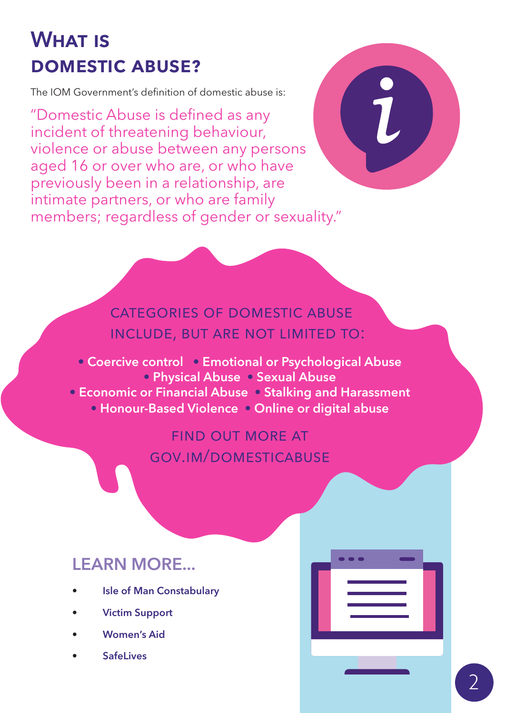## WHAT IS DOMESTIC ABUSE?

The IOM Government's definition of domestic abuse is:

"Domestic Abuse is defined as any incident of threatening behaviour, violence or abuse between any persons aged 16 or over who are, or who have previously been in a relationship, are intimate partners, or who are family members; regardless of gender or sexuality."



#### CATEGORIES OF DOMESTIC ABUSE include, but are not limited to:

• Coercive control • Emotional or Psychological Abuse • Physical Abuse • Sexual Abuse • Economic or Financial Abuse • Stalking and Harassment • Honour-Based Violence • Online or digital abuse

### Find out more at [gov.im/domesticabuse](http://gov.im/domesticabuse)

### LEARN MORE...

- **[Isle of Man Constabulary](https://www.iompolice.im/advice/domestic-abuse/)**
- **Victim Support**
- [Women's Aid](https://www.womensaid.org.uk/information-support/)
- **[SafeLives](https://safelives.org.uk/policy-evidence/about-domestic-abuse?gclid=EAIaIQobChMI2YOx2sLM6gIVWODtCh28vQJ3EAAYASAAEgJym_D_BwE%23top%2010)**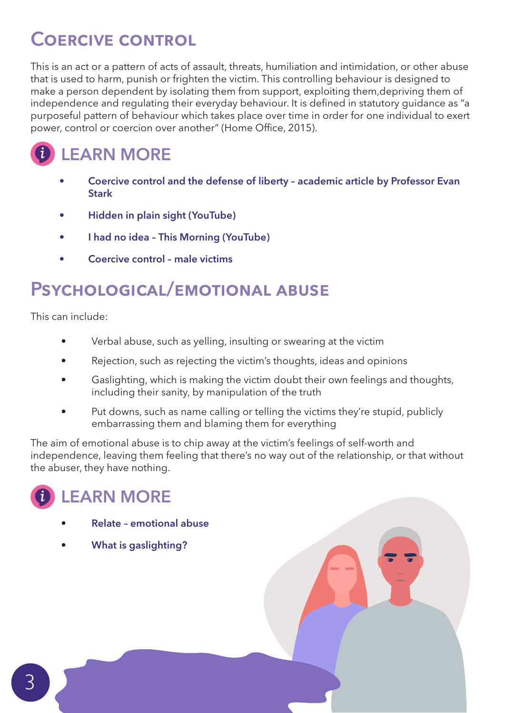## COERCIVE CONTROL

This is an act or a pattern of acts of assault, threats, humiliation and intimidation, or other abuse that is used to harm, punish or frighten the victim. This controlling behaviour is designed to make a person dependent by isolating them from support, exploiting them,depriving them of independence and regulating their everyday behaviour. It is defined in statutory guidance as "a purposeful pattern of behaviour which takes place over time in order for one individual to exert power, control or coercion over another" (Home Office, 2015).

## LEARN MORE

- [Coercive control and the defense of liberty academic article by Professor Evan](https://www.stopvaw.org/uploads/evan_stark_article_final_100812.pdf)  [Stark](https://www.stopvaw.org/uploads/evan_stark_article_final_100812.pdf)
- [Hidden in plain sight \(YouTube\)](https://www.youtube.com/watch?v=36mQFefBylM)
- [I had no idea This Morning \(YouTube\)](https://www.youtube.com/watch?v=-XNZuKkcDkM&list=PLJ90C_WvGFavKIAIeZCrKLcbeOUrP3sM2&index=7&app=desktop)
- [Coercive control male victims](https://www.youtube.com/watch?v=zVrvPsRpYtI)

## Psychological/emotional abuse

This can include:

- Verbal abuse, such as yelling, insulting or swearing at the victim
- Rejection, such as rejecting the victim's thoughts, ideas and opinions
- Gaslighting, which is making the victim doubt their own feelings and thoughts, including their sanity, by manipulation of the truth
- Put downs, such as name calling or telling the victims they're stupid, publicly embarrassing them and blaming them for everything

The aim of emotional abuse is to chip away at the victim's feelings of self-worth and independence, leaving them feeling that there's no way out of the relationship, or that without the abuser, they have nothing.

## LEARN MORE

- [Relate emotional abuse](https://www.relate.org.uk/find-my-nearest-relate/centre/isle-man-relate-centre)
- [What is gaslighting?](https://www.psychologytoday.com/gb/basics/gaslighting)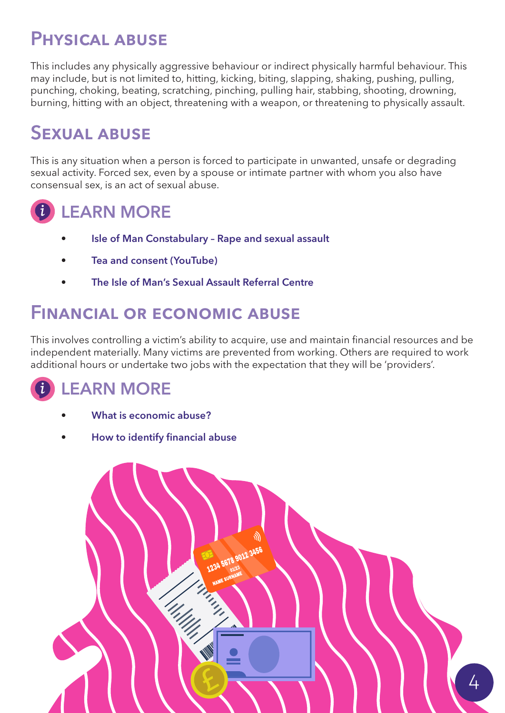## Physical abuse

This includes any physically aggressive behaviour or indirect physically harmful behaviour. This may include, but is not limited to, hitting, kicking, biting, slapping, shaking, pushing, pulling, punching, choking, beating, scratching, pinching, pulling hair, stabbing, shooting, drowning, burning, hitting with an object, threatening with a weapon, or threatening to physically assault.

## Sexual abuse

This is any situation when a person is forced to participate in unwanted, unsafe or degrading sexual activity. Forced sex, even by a spouse or intimate partner with whom you also have consensual sex, is an act of sexual abuse.



- Isle of Man Constabular[y Rape and sexual assault](https://www.iompolice.im/report-it/what-is-a-sexual-assault/)
- [Tea and consent \(YouTube\)](https://www.youtube.com/watch?v=pZwvrxVavnQ)
- [The Isle of Man's Sexual Assault Referral Centre](https://www.gov.im/news/2021/feb/26/project-to-establish-landmark-facility-moves-forward/)

### Financial or economic abuse

This involves controlling a victim's ability to acquire, use and maintain financial resources and be independent materially. Many victims are prevented from working. Others are required to work additional hours or undertake two jobs with the expectation that they will be 'providers'.



- [What is economic abuse?](https://survivingeconomicabuse.org/what-is-economic-abuse/)
- [How to identify financial abuse](https://www.verywellmind.com/financial-abuse-4155224)

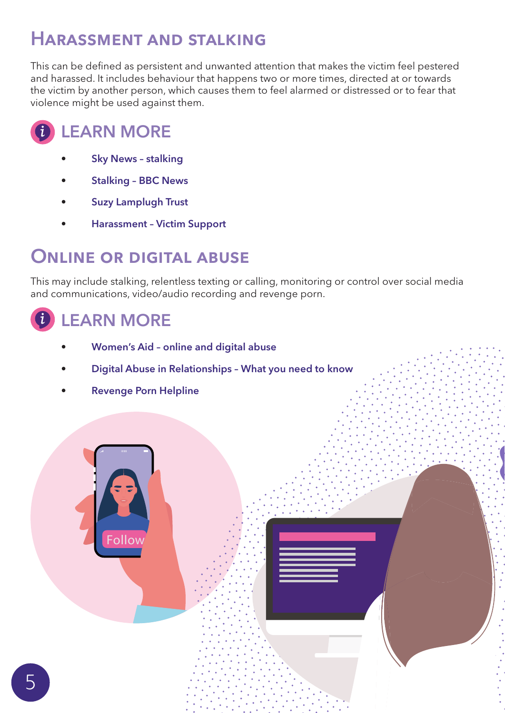## Harassment and stalking

This can be defined as persistent and unwanted attention that makes the victim feel pestered and harassed. It includes behaviour that happens two or more times, directed at or towards the victim by another person, which causes them to feel alarmed or distressed or to fear that violence might be used against them.



- Sky News stalking
- Stalking BBC News
- [Suzy Lamplugh Trust](https://www.suzylamplugh.org/)
- [Harassment Victim Support](https://www.victimsupport.im/wp-content/uploads/2015/11/Harassment.pdf)

## ONLINE OR DIGITAL ABUSE

This may include stalking, relentless texting or calling, monitoring or control over social media and communications, video/audio recording and revenge porn.



- [Women's Aid online and digital abuse](https://www.womensaid.org.uk/information-support/what-is-domestic-abuse/onlinesafety/)
- [Digital Abuse in Relationships What you need to know](https://www.psychologytoday.com/gb/blog/connected/201705/digital-abuse-in-relationships-what-you-need-know)
- [Revenge Porn Helpline](https://revengepornhelpline.org.uk/)



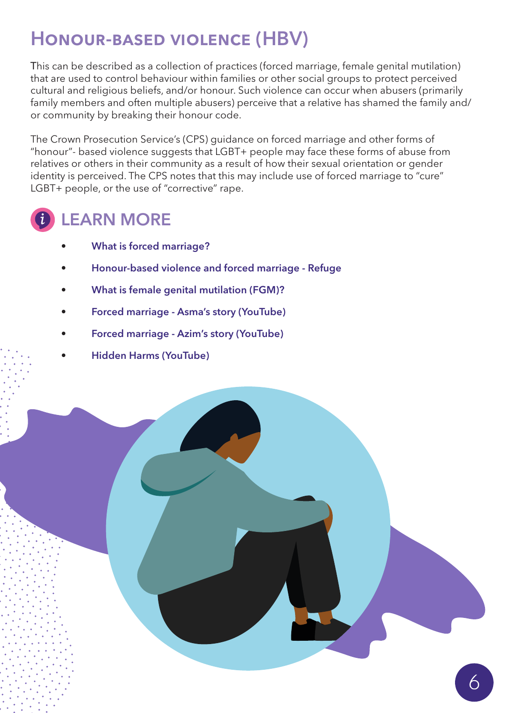## Honour-based violence (HBV)

This can be described as a collection of practices (forced marriage, female genital mutilation) that are used to control behaviour within families or other social groups to protect perceived cultural and religious beliefs, and/or honour. Such violence can occur when abusers (primarily family members and often multiple abusers) perceive that a relative has shamed the family and/ or community by breaking their honour code.

The Crown Prosecution Service's (CPS) guidance on forced marriage and other forms of "honour"- based violence suggests that LGBT+ people may face these forms of abuse from relatives or others in their community as a result of how their sexual orientation or gender identity is perceived. The CPS notes that this may include use of forced marriage to "cure" LGBT+ people, or the use of "corrective" rape.

#### LEARN MORE  $\mathbf{u}$

- [What is forced marriage?](https://www.gov.uk/government/publications/what-is-a-forced-marriage)
- [Honour-based violence and forced marriage Refuge](https://www.refuge.org.uk/our-work/forms-of-violence-and-abuse/honour-based-violence/)
- [What is female genital mutilation \(FGM\)?](https://www.who.int/news-room/fact-sheets/detail/female-genital-mutilation)
- [Forced marriage Asma's story \(YouTube\)](https://www.youtube.com/watch?v=d5T-P7tbiVE)
- [Forced marriage Azim's story \(YouTube\)](https://www.youtube.com/watch?v=nF2_4uRtHJs)
- [Hidden Harms \(YouTube\)](https://www.youtube.com/watch?v=gTQnCGbBmX8)

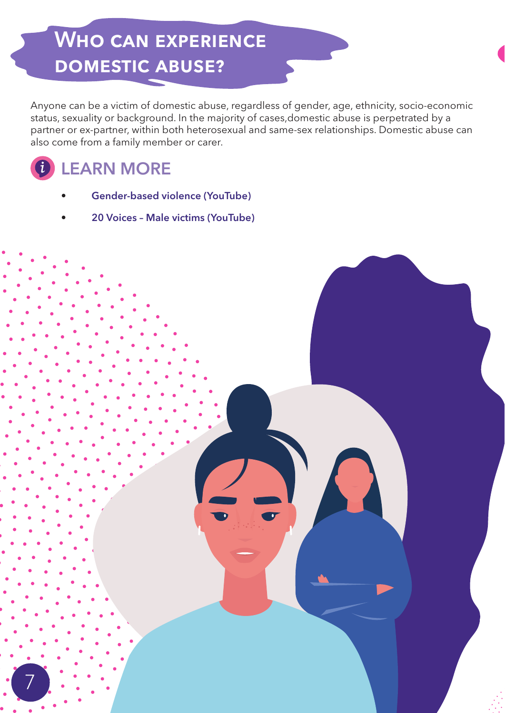## WHO CAN EXPERIENCE domestic abuse?

Anyone can be a victim of domestic abuse, regardless of gender, age, ethnicity, socio-economic status, sexuality or background. In the majority of cases,domestic abuse is perpetrated by a partner or ex-partner, within both heterosexual and same-sex relationships. Domestic abuse can also come from a family member or carer.

#### LEARN MORE 6

- [Gender-based violence \(YouTube\)](https://www.youtube.com/watch?v=DzBjE_nvJ4w)
- [20 Voices Male victims \(YouTube](https://www.youtube.com/watch?v=ZSyT3UV0D9I))

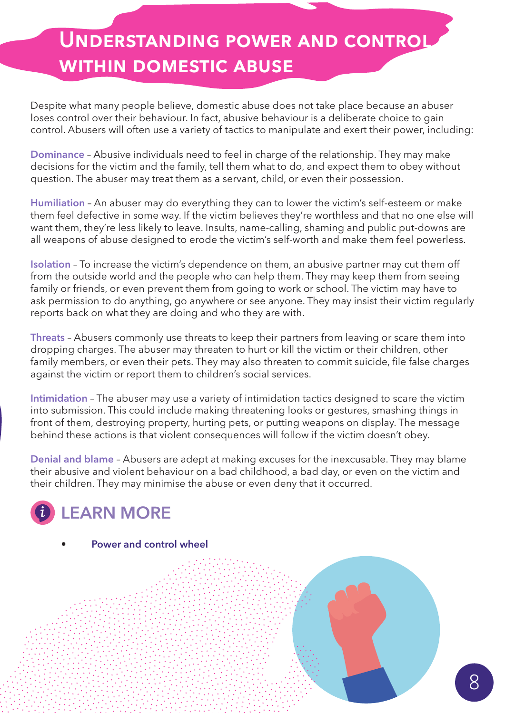## Understanding power and control within domestic abuse

Despite what many people believe, domestic abuse does not take place because an abuser loses control over their behaviour. In fact, abusive behaviour is a deliberate choice to gain control. Abusers will often use a variety of tactics to manipulate and exert their power, including:

Dominance – Abusive individuals need to feel in charge of the relationship. They may make decisions for the victim and the family, tell them what to do, and expect them to obey without question. The abuser may treat them as a servant, child, or even their possession.

Humiliation - An abuser may do everything they can to lower the victim's self-esteem or make them feel defective in some way. If the victim believes they're worthless and that no one else will want them, they're less likely to leave. Insults, name-calling, shaming and public put-downs are all weapons of abuse designed to erode the victim's self-worth and make them feel powerless.

Isolation – To increase the victim's dependence on them, an abusive partner may cut them off from the outside world and the people who can help them. They may keep them from seeing family or friends, or even prevent them from going to work or school. The victim may have to ask permission to do anything, go anywhere or see anyone. They may insist their victim regularly reports back on what they are doing and who they are with.

Threats – Abusers commonly use threats to keep their partners from leaving or scare them into dropping charges. The abuser may threaten to hurt or kill the victim or their children, other family members, or even their pets. They may also threaten to commit suicide, file false charges against the victim or report them to children's social services.

Intimidation – The abuser may use a variety of intimidation tactics designed to scare the victim into submission. This could include making threatening looks or gestures, smashing things in front of them, destroying property, hurting pets, or putting weapons on display. The message behind these actions is that violent consequences will follow if the victim doesn't obey.

Denial and blame – Abusers are adept at making excuses for the inexcusable. They may blame their abusive and violent behaviour on a bad childhood, a bad day, or even on the victim and their children. They may minimise the abuse or even deny that it occurred.



[Power and control wheel](https://www.researchgate.net/profile/Melanie-Hill-6/publication/233016790/figure/fig1/AS:300477079146496@1448650726119/Power-and-Control-Wheel.png)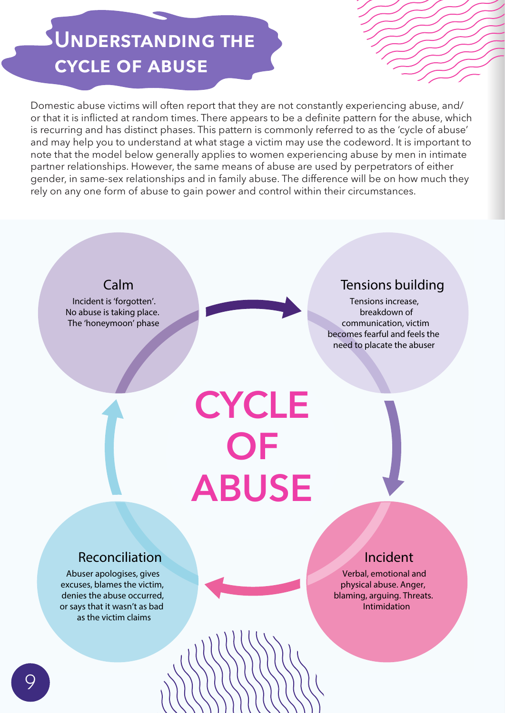## UNDERSTANDING THE cycle of abuse

Domestic abuse victims will often report that they are not constantly experiencing abuse, and/ or that it is inflicted at random times. There appears to be a definite pattern for the abuse, which is recurring and has distinct phases. This pattern is commonly referred to as the 'cycle of abuse' and may help you to understand at what stage a victim may use the codeword. It is important to note that the model below generally applies to women experiencing abuse by men in intimate partner relationships. However, the same means of abuse are used by perpetrators of either gender, in same-sex relationships and in family abuse. The difference will be on how much they rely on any one form of abuse to gain power and control within their circumstances.

#### **Calm**

Incident is 'forgotten'. No abuse is taking place. The 'honeymoon' phase

#### **Tensions building**

Tensions increase, breakdown of communication, victim becomes fearful and feels the need to placate the abuser

## **CICLE abuse** CYCLE OF ABUSE

#### **Incident**

Verbal, emotional and physical abuse. Anger, blaming, arguing. Threats. Intimidation

#### **Reconciliation**

Abuser apologises, gives excuses, blames the victim, denies the abuse occurred, or says that it wasn't as bad as the victim claims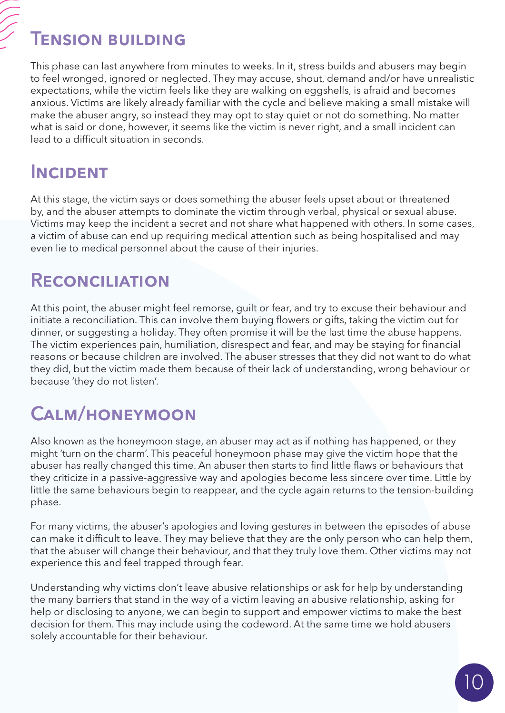## Tension building

This phase can last anywhere from minutes to weeks. In it, stress builds and abusers may begin to feel wronged, ignored or neglected. They may accuse, shout, demand and/or have unrealistic expectations, while the victim feels like they are walking on eggshells, is afraid and becomes anxious. Victims are likely already familiar with the cycle and believe making a small mistake will make the abuser angry, so instead they may opt to stay quiet or not do something. No matter what is said or done, however, it seems like the victim is never right, and a small incident can lead to a difficult situation in seconds.

## **INCIDENT**

At this stage, the victim says or does something the abuser feels upset about or threatened by, and the abuser attempts to dominate the victim through verbal, physical or sexual abuse. Victims may keep the incident a secret and not share what happened with others. In some cases, a victim of abuse can end up requiring medical attention such as being hospitalised and may even lie to medical personnel about the cause of their injuries.

## Reconciliation

At this point, the abuser might feel remorse, guilt or fear, and try to excuse their behaviour and initiate a reconciliation. This can involve them buying flowers or gifts, taking the victim out for dinner, or suggesting a holiday. They often promise it will be the last time the abuse happens. The victim experiences pain, humiliation, disrespect and fear, and may be staying for financial reasons or because children are involved. The abuser stresses that they did not want to do what they did, but the victim made them because of their lack of understanding, wrong behaviour or because 'they do not listen'.

## Calm/honeymoon

Also known as the honeymoon stage, an abuser may act as if nothing has happened, or they might 'turn on the charm'. This peaceful honeymoon phase may give the victim hope that the abuser has really changed this time. An abuser then starts to find little flaws or behaviours that they criticize in a passive-aggressive way and apologies become less sincere over time. Little by little the same behaviours begin to reappear, and the cycle again returns to the tension-building phase.

For many victims, the abuser's apologies and loving gestures in between the episodes of abuse can make it difficult to leave. They may believe that they are the only person who can help them, that the abuser will change their behaviour, and that they truly love them. Other victims may not experience this and feel trapped through fear.

Understanding why victims don't leave abusive relationships or ask for help by understanding the many barriers that stand in the way of a victim leaving an abusive relationship, asking for help or disclosing to anyone, we can begin to support and empower victims to make the best decision for them. This may include using the codeword. At the same time we hold abusers solely accountable for their behaviour.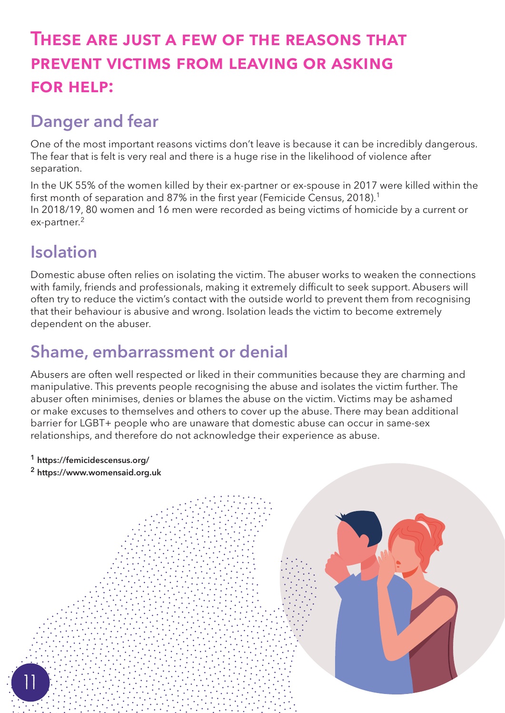## These are just a few of the reasons that prevent victims from leaving or asking for help:

## Danger and fear

One of the most important reasons victims don't leave is because it can be incredibly dangerous. The fear that is felt is very real and there is a huge rise in the likelihood of violence after separation.

In the UK 55% of the women killed by their ex-partner or ex-spouse in 2017 were killed within the first month of separation and 87% in the first year (Femicide Census, 2018).<sup>1</sup> In 2018/19, 80 women and 16 men were recorded as being victims of homicide by a current or ex-partner.2

## Isolation

Domestic abuse often relies on isolating the victim. The abuser works to weaken the connections with family, friends and professionals, making it extremely difficult to seek support. Abusers will often try to reduce the victim's contact with the outside world to prevent them from recognising that their behaviour is abusive and wrong. Isolation leads the victim to become extremely dependent on the abuser.

## Shame, embarrassment or denial

Abusers are often well respected or liked in their communities because they are charming and manipulative. This prevents people recognising the abuse and isolates the victim further. The abuser often minimises, denies or blames the abuse on the victim. Victims may be ashamed or make excuses to themselves and others to cover up the abuse. There may bean additional barrier for LGBT+ people who are unaware that domestic abuse can occur in same-sex relationships, and therefore do not acknowledge their experience as abuse.

<sup>1</sup> https://femicidescensus.org/ <sup>2</sup> https://www.womensaid.org.uk

11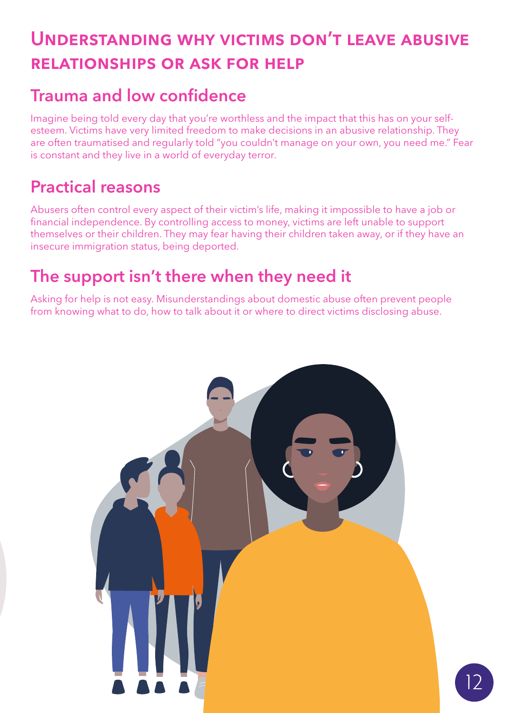## Understanding why victims don't leave abusive relationships or ask for help

## Trauma and low confidence

Imagine being told every day that you're worthless and the impact that this has on your selfesteem. Victims have very limited freedom to make decisions in an abusive relationship. They are often traumatised and regularly told "you couldn't manage on your own, you need me." Fear is constant and they live in a world of everyday terror.

## Practical reasons

Abusers often control every aspect of their victim's life, making it impossible to have a job or financial independence. By controlling access to money, victims are left unable to support themselves or their children. They may fear having their children taken away, or if they have an insecure immigration status, being deported.

## The support isn't there when they need it

Asking for help is not easy. Misunderstandings about domestic abuse often prevent people from knowing what to do, how to talk about it or where to direct victims disclosing abuse.

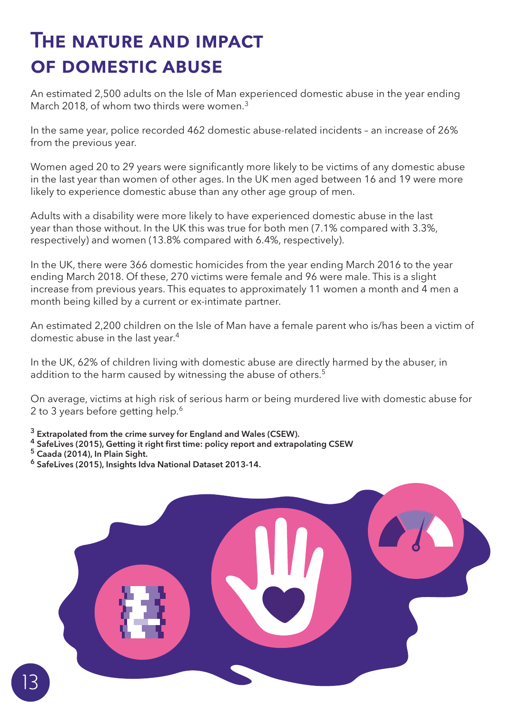## The nature and impact of domestic abuse

An estimated 2,500 adults on the Isle of Man experienced domestic abuse in the year ending March 2018, of whom two thirds were women.<sup>3</sup>

In the same year, police recorded 462 domestic abuse-related incidents – an increase of 26% from the previous year.

Women aged 20 to 29 years were significantly more likely to be victims of any domestic abuse in the last year than women of other ages. In the UK men aged between 16 and 19 were more likely to experience domestic abuse than any other age group of men.

Adults with a disability were more likely to have experienced domestic abuse in the last year than those without. In the UK this was true for both men (7.1% compared with 3.3%, respectively) and women (13.8% compared with 6.4%, respectively).

In the UK, there were 366 domestic homicides from the year ending March 2016 to the year ending March 2018. Of these, 270 victims were female and 96 were male. This is a slight increase from previous years. This equates to approximately 11 women a month and 4 men a month being killed by a current or ex-intimate partner.

An estimated 2,200 children on the Isle of Man have a female parent who is/has been a victim of domestic abuse in the last year.4

In the UK, 62% of children living with domestic abuse are directly harmed by the abuser, in addition to the harm caused by witnessing the abuse of others.<sup>5</sup>

On average, victims at high risk of serious harm or being murdered live with domestic abuse for 2 to 3 years before getting help.<sup>6</sup>

 $3$  Extrapolated from the crime survey for England and Wales (CSEW).

- 4 SafeLives (2015), Getting it right first time: policy report and extrapolating CSEW
- 5 Caada (2014), In Plain Sight.
- 6 SafeLives (2015), Insights Idva National Dataset 2013-14.

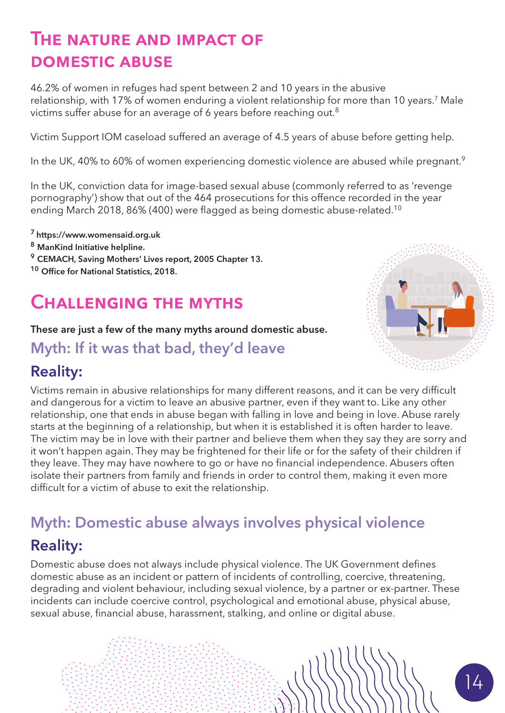## 14

## The nature and impact of DOMESTIC ABUSE

46.2% of women in refuges had spent between 2 and 10 years in the abusive relationship, with 17% of women enduring a violent relationship for more than 10 years.<sup>7</sup> Male victims suffer abuse for an average of 6 years before reaching out.<sup>8</sup>

Victim Support IOM caseload suffered an average of 4.5 years of abuse before getting help.

In the UK, 40% to 60% of women experiencing domestic violence are abused while pregnant.<sup>9</sup>

In the UK, conviction data for image-based sexual abuse (commonly referred to as 'revenge pornography') show that out of the 464 prosecutions for this offence recorded in the year ending March 2018, 86% (400) were flagged as being domestic abuse-related.10

- 7 https://www.womensaid.org.uk
- <sup>8</sup> ManKind Initiative helpline.
- <sup>9</sup> CEMACH, Saving Mothers' Lives report, 2005 Chapter 13.

<sup>10</sup> Office for National Statistics, 2018.

## Challenging the myths

#### These are just a few of the many myths around domestic abuse.

#### Myth: If it was that bad, they'd leave

## Reality:

Victims remain in abusive relationships for many different reasons, and it can be very difficult and dangerous for a victim to leave an abusive partner, even if they want to. Like any other relationship, one that ends in abuse began with falling in love and being in love. Abuse rarely starts at the beginning of a relationship, but when it is established it is often harder to leave. The victim may be in love with their partner and believe them when they say they are sorry and it won't happen again. They may be frightened for their life or for the safety of their children if they leave. They may have nowhere to go or have no financial independence. Abusers often isolate their partners from family and friends in order to control them, making it even more difficult for a victim of abuse to exit the relationship.

### Myth: Domestic abuse always involves physical violence

#### Reality:

Domestic abuse does not always include physical violence. The UK Government defines domestic abuse as an incident or pattern of incidents of controlling, coercive, threatening, degrading and violent behaviour, including sexual violence, by a partner or ex-partner. These incidents can include coercive control, psychological and emotional abuse, physical abuse, sexual abuse, financial abuse, harassment, stalking, and online or digital abuse.

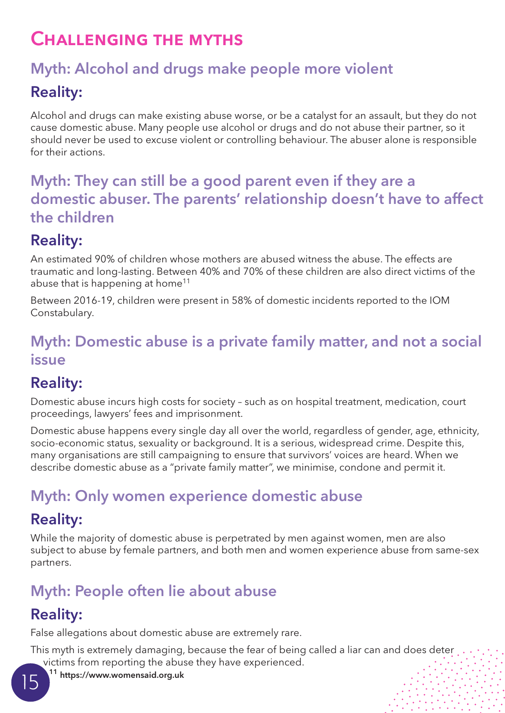## Challenging the myths

## Myth: Alcohol and drugs make people more violent Reality:

Alcohol and drugs can make existing abuse worse, or be a catalyst for an assault, but they do not cause domestic abuse. Many people use alcohol or drugs and do not abuse their partner, so it should never be used to excuse violent or controlling behaviour. The abuser alone is responsible for their actions.

#### Myth: They can still be a good parent even if they are a domestic abuser. The parents' relationship doesn't have to affect the children

### Reality:

An estimated 90% of children whose mothers are abused witness the abuse. The effects are traumatic and long-lasting. Between 40% and 70% of these children are also direct victims of the abuse that is happening at home<sup>11</sup>

Between 2016-19, children were present in 58% of domestic incidents reported to the IOM Constabulary.

#### Myth: Domestic abuse is a private family matter, and not a social issue

### Reality:

Domestic abuse incurs high costs for society – such as on hospital treatment, medication, court proceedings, lawyers' fees and imprisonment.

Domestic abuse happens every single day all over the world, regardless of gender, age, ethnicity, socio-economic status, sexuality or background. It is a serious, widespread crime. Despite this, many organisations are still campaigning to ensure that survivors' voices are heard. When we describe domestic abuse as a "private family matter", we minimise, condone and permit it.

### Myth: Only women experience domestic abuse

### Reality:

While the majority of domestic abuse is perpetrated by men against women, men are also subject to abuse by female partners, and both men and women experience abuse from same-sex partners.

## Myth: People often lie about abuse

### Reality:

False allegations about domestic abuse are extremely rare.

This myth is extremely damaging, because the fear of being called a liar can and does deter victims from reporting the abuse they have experienced.

<sup>11</sup> https://www.womensaid.org.uk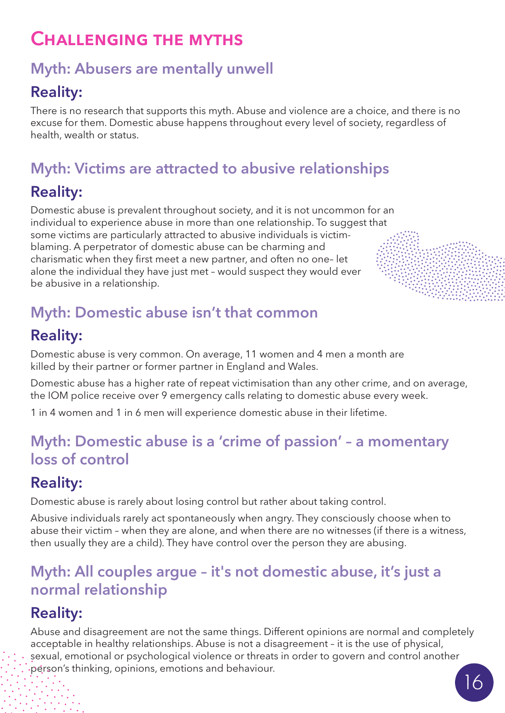## Challenging the myths

### Myth: Abusers are mentally unwell

## Reality:

There is no research that supports this myth. Abuse and violence are a choice, and there is no excuse for them. Domestic abuse happens throughout every level of society, regardless of health, wealth or status.

## Myth: Victims are attracted to abusive relationships

## Reality:

Domestic abuse is prevalent throughout society, and it is not uncommon for an individual to experience abuse in more than one relationship. To suggest that some victims are particularly attracted to abusive individuals is victimblaming. A perpetrator of domestic abuse can be charming and charismatic when they first meet a new partner, and often no one– let alone the individual they have just met – would suspect they would ever be abusive in a relationship.

## Myth: Domestic abuse isn't that common

### Reality:

Domestic abuse is very common. On average, 11 women and 4 men a month are killed by their partner or former partner in England and Wales.

Domestic abuse has a higher rate of repeat victimisation than any other crime, and on average, the IOM police receive over 9 emergency calls relating to domestic abuse every week.

1 in 4 women and 1 in 6 men will experience domestic abuse in their lifetime.

### Myth: Domestic abuse is a 'crime of passion' – a momentary loss of control

### Reality:

Domestic abuse is rarely about losing control but rather about taking control.

Abusive individuals rarely act spontaneously when angry. They consciously choose when to abuse their victim – when they are alone, and when there are no witnesses (if there is a witness, then usually they are a child). They have control over the person they are abusing.

### Myth: All couples argue – it's not domestic abuse, it's just a normal relationship

## Reality:

Abuse and disagreement are not the same things. Different opinions are normal and completely acceptable in healthy relationships. Abuse is not a disagreement – it is the use of physical, sexual, emotional or psychological violence or threats in order to govern and control another person's thinking, opinions, emotions and behaviour.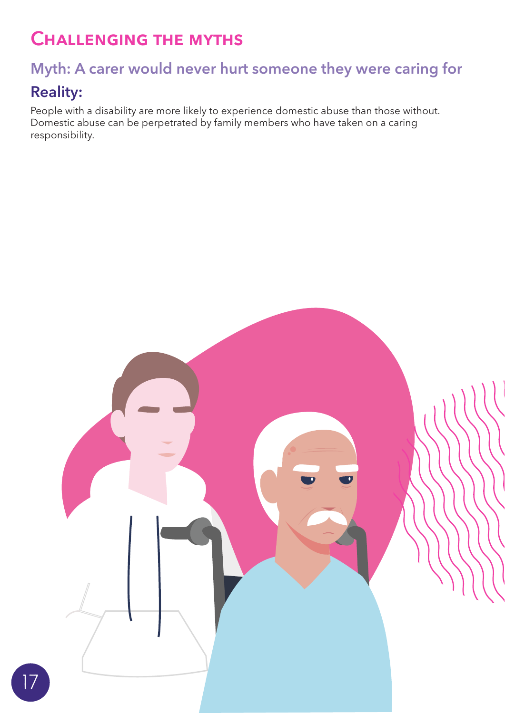## Challenging the myths

## Myth: A carer would never hurt someone they were caring for Reality:

People with a disability are more likely to experience domestic abuse than those without. Domestic abuse can be perpetrated by family members who have taken on a caring responsibility.

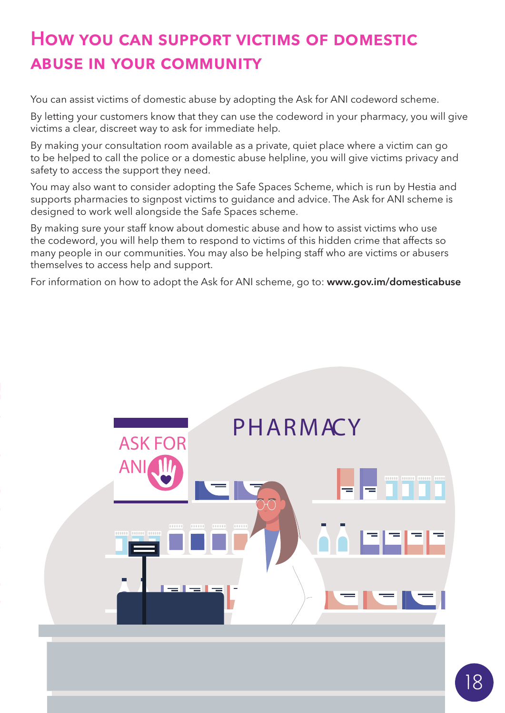## How you can support victims of domestic abuse in your community

You can assist victims of domestic abuse by adopting the Ask for ANI codeword scheme.

By letting your customers know that they can use the codeword in your pharmacy, you will give victims a clear, discreet way to ask for immediate help.

By making your consultation room available as a private, quiet place where a victim can go to be helped to call the police or a domestic abuse helpline, you will give victims privacy and safety to access the support they need.

You may also want to consider adopting the Safe Spaces Scheme, which is run by Hestia and supports pharmacies to signpost victims to guidance and advice. The Ask for ANI scheme is designed to work well alongside the Safe Spaces scheme.

By making sure your staff know about domestic abuse and how to assist victims who use the codeword, you will help them to respond to victims of this hidden crime that affects so many people in our communities. You may also be helping staff who are victims or abusers themselves to access help and support.

For information on how to adopt the Ask for ANI scheme, go to: [www.gov.im/domesticabuse](http://www.gov.im/domesticabuse)